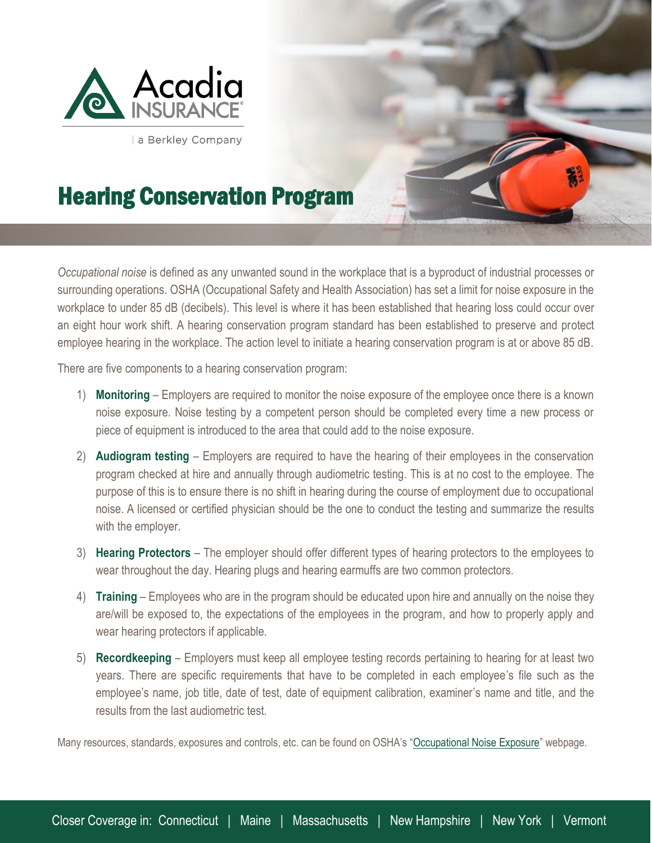

l

a Berkley Company

## Hearing Conservation Program

*Occupational noise* is defined as any unwanted sound in the workplace that is a byproduct of industrial processes or surrounding operations. OSHA (Occupational Safety and Health Association) has set a limit for noise exposure in the workplace to under 85 dB (decibels). This level is where it has been established that hearing loss could occur over an eight hour work shift. A hearing conservation program standard has been established to preserve and protect employee hearing in the workplace. The action level to initiate a hearing conservation program is at or above 85 dB.

There are five components to a hearing conservation program:

- 1) **Monitoring** Employers are required to monitor the noise exposure of the employee once there is a known noise exposure. Noise testing by a competent person should be completed every time a new process or piece of equipment is introduced to the area that could add to the noise exposure.
- 2) **Audiogram testing**  Employers are required to have the hearing of their employees in the conservation program checked at hire and annually through audiometric testing. This is at no cost to the employee. The purpose of this is to ensure there is no shift in hearing during the course of employment due to occupational noise. A licensed or certified physician should be the one to conduct the testing and summarize the results with the employer.
- 3) **Hearing Protectors**  The employer should offer different types of hearing protectors to the employees to wear throughout the day. Hearing plugs and hearing earmuffs are two common protectors.
- 4) **Training** Employees who are in the program should be educated upon hire and annually on the noise they are/will be exposed to, the expectations of the employees in the program, and how to properly apply and wear hearing protectors if applicable.
- 5) **Recordkeeping** Employers must keep all employee testing records pertaining to hearing for at least two years. There are specific requirements that have to be completed in each employee's file such as the employee's name, job title, date of test, date of equipment calibration, examiner's name and title, and the results from the last audiometric test.

Many resources, standards, exposures and controls, etc. can be found on OSHA's "[Occupational Noise Exposure](https://www.osha.gov/SLTC/noisehearingconservation/index.html)" webpage.